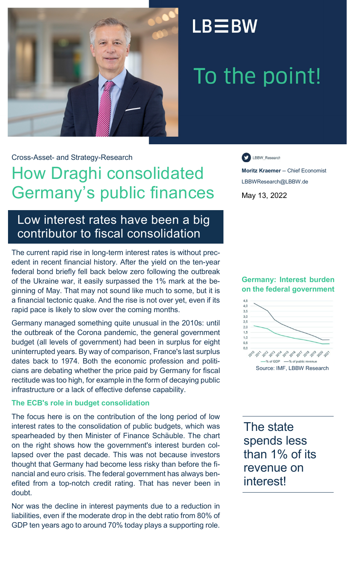

### $LB \equiv BW$

# To the point!

Cross-Asset- and Strategy-Research

### How Draghi consolidated Germany's public finances

LBBW\_Research

**Moritz Kraemer** -- Chief Economist LBBWResearch@LBBW.de May 13, 2022

### Low interest rates have been a big contributor to fiscal consolidation

The current rapid rise in long-term interest rates is without precedent in recent financial history. After the yield on the ten-year federal bond briefly fell back below zero following the outbreak of the Ukraine war, it easily surpassed the 1% mark at the beginning of May. That may not sound like much to some, but it is a financial tectonic quake. And the rise is not over yet, even if its rapid pace is likely to slow over the coming months.

Germany managed something quite unusual in the 2010s: until the outbreak of the Corona pandemic, the general government budget (all levels of government) had been in surplus for eight uninterrupted years. By way of comparison, France's last surplus dates back to 1974. Both the economic profession and politicians are debating whether the price paid by Germany for fiscal rectitude was too high, for example in the form of decaying public infrastructure or a lack of effective defense capability.

#### **The ECB's role in budget consolidation**

The focus here is on the contribution of the long period of low interest rates to the consolidation of public budgets, which was spearheaded by then Minister of Finance Schäuble. The chart on the right shows how the government's interest burden collapsed over the past decade. This was not because investors thought that Germany had become less risky than before the financial and euro crisis. The federal government has always benefited from a top-notch credit rating. That has never been in doubt.

Nor was the decline in interest payments due to a reduction in liabilities, even if the moderate drop in the debt ratio from 80% of GDP ten years ago to around 70% today plays a supporting role.

#### **Germany: Interest burden on the federal government**



The state spends less than 1% of its revenue on interest!